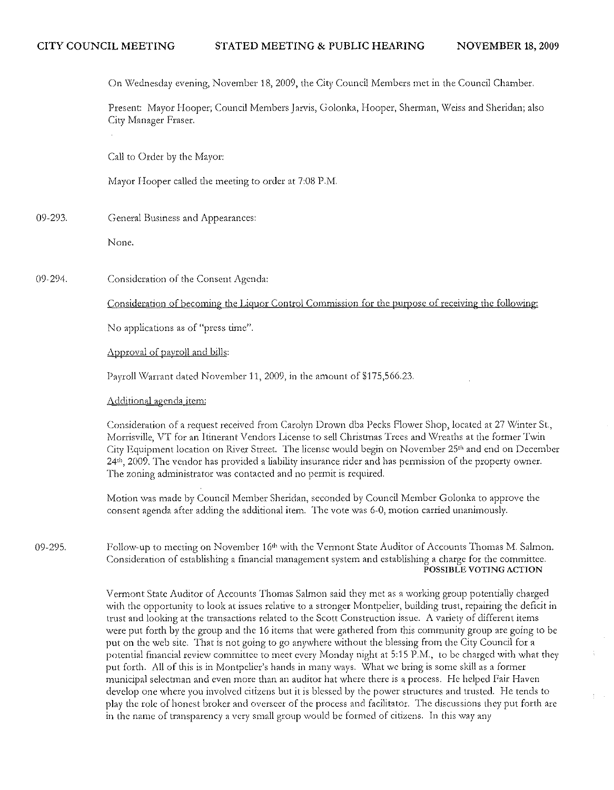On Wednesday evening, November 18, 2009, the City Council Members met in the Council Chamber.

Present: Mayor Hooper; Council Members Jarvis, Golonka, Hooper, Sherman, Weiss and Sheridan; also City Manager Fraser.

Call to Order by thc Mayor:

Mayor Hooper called the meeting to order at 7:08 P.M.

09-293. General Business and Appearances:

None.

09·294. Consideration of the Consent Agenda:

Consideration of becoming the Liquor Control Commission for the purpose of receiving the following:

No applications as of "press time".

Approval of payroll and bills:

Payroll Warrant dated November 11, 2009, in the amount of \$175,566.23.

Additional agenda item:

Consideration of a request received from Carolyn Drown dba Pecks Flower Shop, located at 27 Winter St., Morrisville, VT for an Itinerant Vendors License to sell Christmas Trees and Wreaths at the former Twin City Equipment location on River Street. The license would begin on November 25<sup>th</sup> and end on December  $24<sup>th</sup>$ , 2009. The vendor has provided a liability insurance rider and has permission of the property owner. The zoning administrator was contacted and no permit is required.

Motion was made by Council Member Sheridan, seconded by Council Member Golonka to approve the consent agenda after adding the additional item. The vote was 6-0, motion carried unanimously.

09-295. Follow-up to meeting on November  $16<sup>th</sup>$  with the Vermont State Auditor of Accounts Thomas M. Salmon, Consideration of establishing a financial management system and establishing a charge for the committce. POSSIBLE VOTING ACTION

> Vermont State Auditor of Accounts Thomas Salmon said they met as a working group potentially charged with the opportunity to look at issues relative to a stronger Montpelier, building trust, repairing the deficit in trust and looking at the transactions related to the Scott Construction issue. A variety of different items were put forth by the group and the 16 items that were gathered from this community group are going to be put on the web site. That is not going to go anywhere without the blessing from the City Council for a potential financial review committee to meet every Monday night at 5:15 P.M., to be charged with what they put forth. All of this is in Montpelier's hands in many ways. What we bring is some skill as a former municipal selectman and even more than an auditor hat where there is a process. He helped Fair Haven develop one where you involved citizens but it is blessed by the power structures and trusted. He tends to play the role of honest broker and overseer of the process and facilitator. The discussions they put forth are in the name of transparency a very small group would be formed of citizens. In this way any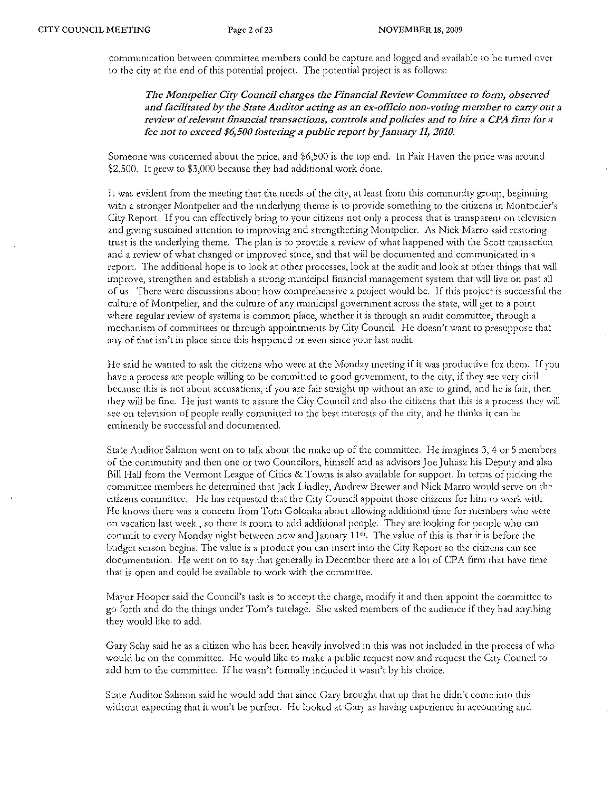communication between committee members could be capture and logged and available to be turned over to the city at the end of this potential project. The potential project is as follows:

*The Montpelier City Council charges the Financial Review Committee to form, observed and facilitated by the State Auditor acting as an ex-officio non-voting member to carry ollt a*  review of relevant financial transactions, controls and policies and to hire a CPA firm for a *fee not to exceed \$6,500 fostering a public report by January* 11, *2010.* 

Someone was concerned about the price, and \$6,500 is the top end. In Fair Haven the price was around \$2,500. It grew to \$3,000 because they had additional work done.

It was evident from the meeting that the needs of the city, at least from this community group, beginning with a stronger Montpelier and the underlying theme is to provide something to the citizens in Montpelier's City Report. If you can effectively bring to your citizens not only a process that is transparent on television and giving sustained attention to improving and strengthening Montpelier. As Nick Marro said restoring trust is the underlying theme, The plan is to provide a review of what happened with the Scott transaction and a review of what changed or improved since, and that will be documented and communicated in a report. The additional hope is to look at other processes, look at the audit and look at other things that will improve, strengthen and establish a strong municipal financial management system that will live on past all of lts. There were discussions about how comprehensive a project would be, If this project is successful the culture of Montpelier, and the culture of any municipal government across the state, \viU get to a point where regular review of systems is common place, whether it is through an audit committee, through a mechanism of committees or through appointments by City Council. He doesn't want to presuppose that any of that isn't in place since this happened or even since your last audit.

He said he wanted to ask the citizens who were at the Monday meeting if it was productive for them. If you have a process are people willing to be committed to good government, to the city, if they are very civil because this is not about accusations, if you are fair straight up without an axe to grind, and he is fair, then they will be fine. He just wants to assure the City Council and also the citizens that this is a process they will see on television of people really committed to the best interests of the city, and he thinks it can be eminently be successful and documented.

State Auditor Salmon went on to talk about the make up of the committee. He imagines 3,4 or 5 members of the community and then one or two Councilors, himself and as advisors Joe Juhasz his Deputy and also Bill Hall from the Vermont League of Cities & Towns is also available for support. In terms of picking the committee members he determined that Jack Lindley, Andrew Brewer and Nick Marro would serve on the citizens committee. He has requested tbat the City Council appoint those citizens for him to work with. He knows there was a concern from Tom Golonka about allowing additional time for members who were on vacation last week, so there is room to add additional people. They are looking for people who can commit to every Monday night between now and January 11<sup>th</sup>. The value of this is that it is before the budget season begins. The value is a product you can insert into the City Report so the citizens can see documentation. He went on to say that generally in December there are a lot of CPA firm that have time that is open and could be available to work with the committee.

Mayor Hooper said the Council's task is to accept the charge, modify it and then appoint the committee to go forth and do the things under Tom's tutelage. She asked members of the audience if they had anything they would like to add.

Gaty Schy said he as a citizen who has been heavily involved in this was not included in the process of who would be on the committee. He would like to make a public request now and request the City Council to add him to the committee. If he wasn't formally included it wasn't by his choice.

Statc Auditor Salmon said he would add that since Gary brought that up that he didn't come into this without expecting that it won't be perfect. He looked at Gary as having experience in accounting and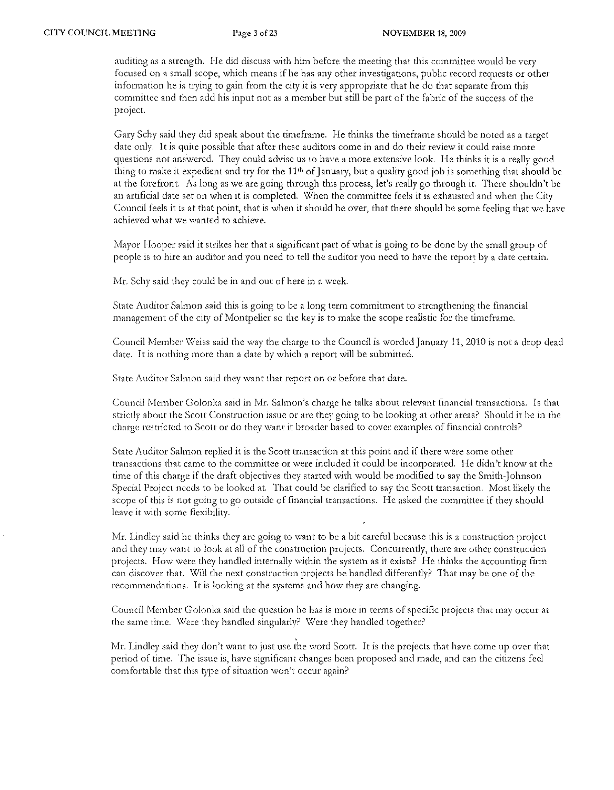auditing as a strength. He did discuss with him before the meeting that this committee would be very focused on a small scope, which means if he has any other investigations, public record requests or other information he is trying to gain from the city it is very appropriate that he do that separate from this committee and then add his input not as a member but still be part of the fabric of the success of the project.

Gary Schy said they did speak about the timeframe. He thinks the timeframe should be noted as a target date only. It is quite possible that after these auditors come in and do their review it could raise more questions not answered. They could advise us to have a more extensive look. He thinks it is a really good thing to make it expedient and try for the 11<sup>th</sup> of January, but a quality good job is something that should be at the forefront. As long as we are going through this process, let's really go through it. There shouldn't be an artificial date set on whcn it is completed, When the committee feels it is exhausted and when the City Council feels it is at that point, that is when it should be over, that there should be some feeling that we have achieved what we wanted to achieve,

Mayor Hooper said it strikes her that a significant part of what is going to be done by the small group of people is to hire an auditor and you need to tell the auditor you need to have the report by a date certain.

Mr. Schy said they could be in and out of here in a week.

State Auditor Salmon said this is going to be a long term commitment to strengthening the financial management of the city of Montpelier so the key is to make the scope realistic for the timeframc.

Council Member Weiss said the way the charge to the Council is worded January 11, 2010 is not a drop dead date. It is nothing more than a date by which a report will be submitted.

State Auditor Salmon said they want that report on or before that date.

Council Member Golonka said in Mr. Salmon's charge he talks about relevant financial transactions. Is that strictly about the Scott Construction issue or are they going to be looking at other areas? Should it be in the charge restricted to Scott or do they want it broadcr based to cover examples of financial controls?

State Auditor Salmon replied it is the Scott transaction at this point and if there were some other transactions that came to the committee or were included it could be incorporated. He didn)t know at the time of this charge if the draft objectives they started with would be modified to say the Smith~Johnson Special Project needs to be looked at. That could be clarified to say the Scott transaction. Most likely the scope of this is not going to go outside of financial transactions. He asked the committee if they should leave it with some flexibility,

Mr. Lindley said he thinks they are going to want to be a bit careful because this is a construction project and they may want to look at all of the construction projects. Concurrently, there are other construction projects. How were they handled internally within the system as it exists? He thinks the accounting firm can discover that. Will the next construction projects be handled differently? That may be one of the recommendations. It is looking at the systems and how they are changing,

Council Member Golonka said the question he has is more in terms of specific projects that may occur at the same time. Were they handled singularly? Were they handled together?

Mr. Lindley said they don't want to just use the word Scott. It is the projects that have come up over that period of time. The issue is, have significant changes been proposed and made, and can the citizens feel comfortable that this type of situation won't occur again?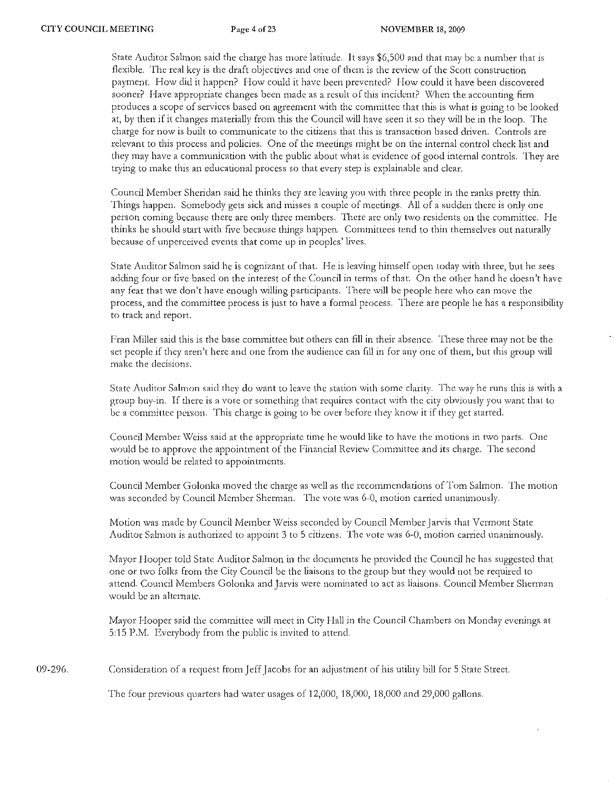State Auditor Salmon said the charge has more latitude. It says \$6,500 and that may be a numbet that is flexible. The real key is the draft objectives and one of them is the review of the Scott construction payment. How did it happen? How could it have been prevented? How could it have been discovered sooner? Have appropriate changes been made as a result of this incident? When the accounting firm produces a scope of services based on agreement with the committee that this is what is going to be looked at, by then if it changes materially from this the Council will have seen it so they will be in the loop. The charge for now is built to communicate to the citizens that this is transaction based driven. Controls are relevant to this process and policies. One of the meetings might be on the intetnal control check list and they may have a communication with the public about what is evidence of good internal controls. They are trying to make this an educational process so that every step is explainable and clear.

Council Membet Sheridan said he thinks they are leaving you with three people in the ranks ptetty thin. Things happen. Somebody gets sick and misses a couple of meetings. All of a sudden there is only one person coming because there are only three members. There are only two residents on the committee. He thinks he should start with five because things happen. Committees tend to thin themselves out naturally because of unpetceived events that come up in peoples' lives.

State Auditor Salmon said he is cognizant of that. He is leaving himself open today with three, but he sees adding four or five based on the interest of the Council in terms of that. On the other hand he doesn't have any fear that we don't have enough willing participants. There will be people here who can move the process, and the committee process is just to have a formal ptocess. There are people he has a responsibility to track and report.

Fran Miller said this is the base committee but others can fill in their absence. These three may not be the set people if they aren't here and one from the audience can fill in for anyone of them, but this group will make the decisions.

State Auditor Salmon said they do want to leave the station with some clarity. The way he runs this is with a group buy-in. If there is a vote or something that requires contact with the city obviously you want that to be a committee person. This charge is going to be over before they know it if they get started.

Council Member Weiss said at the appropriate time he would like to have the motions in two parts. One would be to approve the appointment of the Financial Review Committee and its charge. The second motion would be related to appointments.

Council Member Golonka moved the charge as well as the recommendations of Tom Salmon. The motion was seconded by Council Member Sherman. The vote was 6-0, motion carried unanimously.

Motion was made by Council Member Weiss seconded by Council Member Jarvis that Vermont State Auditor Salmon is authorized to appoint 3 to 5 citizens. The vote was 6-0, motion carried unanimously.

Mayor Hooper told State Auditor Salmon in the documents he provided the Council he has suggested that one or two folks from the City Council be the liaisons to the group but they would not be required to attend. Council Members Golonka and Jarvis were nominated to act as liaisons. Council Member Sherman would be an alternate.

Mayor Hooper said the committee will meet in City Hall in the Council Chambers on Monday evenings at 5:15 P.M. Everybody from the public is invited to attend.

09-296. Consideration of a request from Jeff Jacobs for an adjustment of his utility bill for 5 State Street.

The four previous quarters had water usages of 12,000,18,000,18,000 and 29,000 gallons.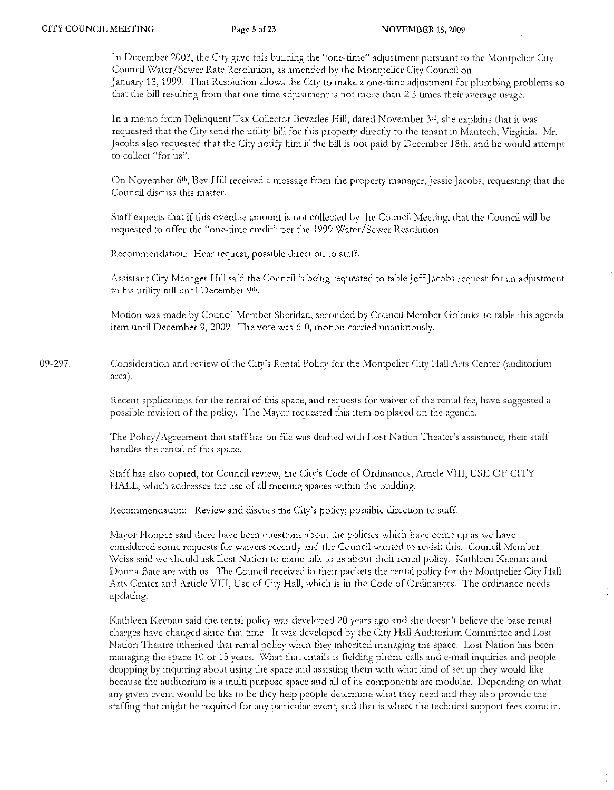In December 2003, the City gave this building the "one-time" adjustment pursuant to the Montpelier City Council Water/Sewer Rate Resolution, as amended by the Montpelier City Council on Januaty 13,1999. That Resolution allows the City to make a one-time adjustment for plumbing problems so that the bill resulting from that one-time adjustment is not more than 2.5 times their average usage.

In a memo from Delinquent Tax Collector Beverlee Hill, dated November  $3<sup>rd</sup>$ , she explains that it was requested that the City send the utility bill for this property directly to the tenant in Mantech, Virginia. Mr. Jacobs also requested that the City notify him if the bill is not paid by December 18th, and he would attempt to collect "for us",

On November 6th , Bev Hill received a message from the property manager, Jessie Jacobs, requesting that the Council discuss this matter.

Staff expects that if this overdue amount is not collected by the Council Meeting, that the Council will be requested to offer the "one-time credit" per the 1999 Water/Sewer Resolution.

Recommendation: Heat reguest; possible direction to staff.

Assistant City Manager Hill said the Council is being requested to table Jeff Jacobs request for an adjustment to his utility bill until December 9th.

Motion was made by Council Member Sheridan, seconded by Council Member Golonka to table this agenda item until December 9, 2009. The vote was 6-0, motion carried unanimously.

09-297. Consideration and review of the City's Rental Policy for the Montpelier City Hall Arts Center (auditorium arca).

> Recent applications for the rental of this space, and requests for waiver of the rental fee, have suggested a possible revision of the policy. The Mayor requested this item be placed on the agenda.

> The Pollcy / Agreement that staff has on file was drafted with Lost Nation Theater's assistance; their staff handles the rental of this space.

Staff has also copied, for Council review, the City's Code of Ordinances, Article VIII, USE OF CITY HALL, which addresses the use of all meeting spaces within the building.

Recommendation: Review and discuss the City's pollcy; possible direction to staff.

Mayor Hooper said there have been questions about the policies which have come up as we have considered some requests for waivers recently and the Council wanted to revisit this. Council Member \"x!eiss said we should ask Lost Nation to come talk to us about their rental policy. Kathleen Keenan and Donna Bate are with us. The Council received in their packets the rental policy for the Montpelier City I-Iall Arts Center and Article VIII, Use of City Hall, which is in the Code of Ordinances. The ordinance needs updating.

Kathleen Keenan said the rental policy was developed 20 years ago and she doesn't believe the base rental charges have changed since that time. It was developed by the City Hall Auditorium Committee and Lost Nation Theatre inherited that rental policy when they inherited managing the space. Lost Nation has been managing the space 10 or 15 years. What that entails is fielding phone calls and e-mail inquiries and people dropping by inquiring about using the space and assisting them with what kind of set up they would like because the auditorium is a multi purpose space and all of its components arc modular. Depending on what any given event would be like to be they help people determine what they need and they also provide the staffing that might be required for any particular event, and that is where the technical support fees come in.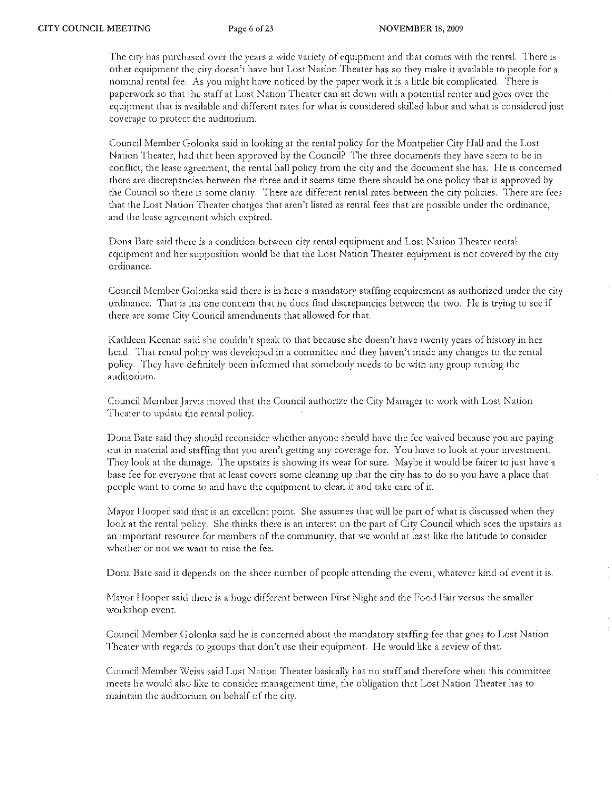The city has purchased over the years a wide variety of equipment and that comes with the rental. There is other equipment the city doesn't have but Lost Nation Theater has so they make it available to people for a nominal rental fee. As you might have noticed by the paper work it is a little bit complicated. There is paperwork so that the staff at Lost Nation Theater can sit down with a potential renter and goes over the equipment that is available and different rates for what is considered skilled labor and what is considered just coverage to protect the auditorium.

Council Member Golonka said in looking at the rental policy for the Montpelier City Hall and the Lost Nation Theater, had that been approved by the Council? The three documents they have seem to be in conflict, the lease agreement, the rental hall policy from the city and the document she has. He is concerned there arc discrepancies between the three and *it* seems time there should be one policy that is approved by the Council so there is some clarity. There arc different rental rates between the city policies. There arc fees that the Lost Nation Theater charges that aren't listed as rental fees that are possible under the ordinance, and the lease agreement which expired.

Dona Bate said there is a condition between city rental equipment: and Lost Nation Theater rental equipment and her supposition would be that the Lost Nation Theater equipment is not covered by the city ordinance.

Council Member Golonka said there is in here a mandatory staffing requirement as authorized under the city ordinance. That is his one concern that he docs find discrepancies between the two. He is trying to see if there are some City Council amendments that allowed for that

Kathleen Keenan said she couldn't speak to that because she doesn't have twenty years of history in her head. That rental policy was developed in a committee and they haven't made any changes to the rental policy. They have definitely been informed that somebody needs to be with any group renting the auditorium.

Council Member Jarvis moved that the Council authorize the City Manager to work with Lost Nation Theater to update the rental policy.

Dona Bate said they should reconsider whether anyone should have the fcc waived because you are paying out in material and staffing that you aren't getting any coverage for. You have to look at your investment. They look at the damage. The upstairs is showing its wear for sure. Maybe it would be fairer to just have a base fcc fat everyone that at least covers some cleaning up that the city has to do so you have a place that people want to come to and have the equipment to clean it and take care of it.

Mayor Hooper said that is an excellent point. She assumes that will be part of what is discussed when they look at the rental policy. She thinks there is an interest on the part of City Council which sees the upstairs as an important resource for members of the community, that we would at least like the latitude to consider whether or not we want to raise the fee.

Dona Bate said it depends on the sheet number of people attending the event, \vhatever kind of event it is.

Mayor Hooper said there is a huge different between First Night and the Food Fair versus the smaller workshop event.

Council Member Golonka said he is concerned about the mandatory staffing fee that goes to Lost Nation Theater with regards to groups that don't use their equipment. He would like a review of that.

Council Member Weiss said Lost Nation Theater basically has no staff and therefore when this committee meets he would also like to consider management time, the obligation that Lost Nation Theater has to maintain the auditorium on behalf of the city.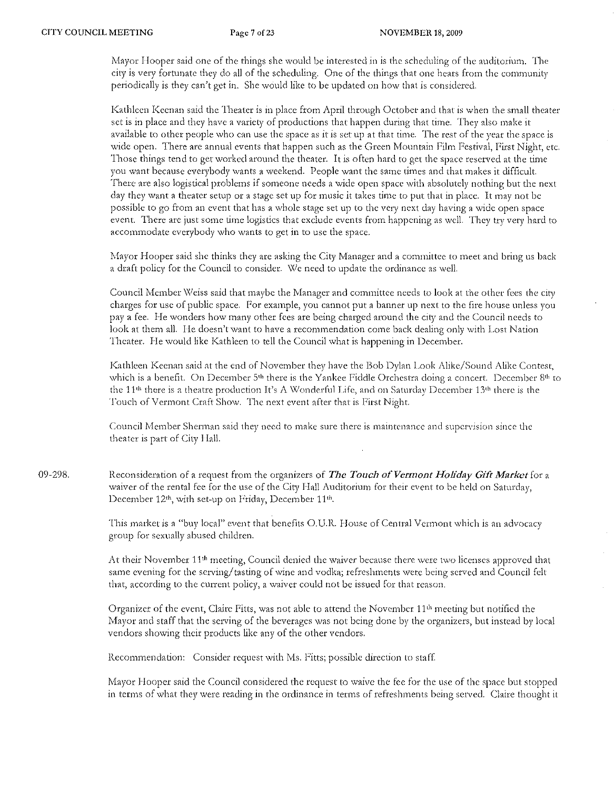Mayor I-looper said one of the things she would be interested in is the scheduling of the auditorium. The city is very fortunate they do all of the scheduling. One of the things that one hears from the community periodically is they can't get in. She would like to be updated on how that is considered.

Kathleen Keenan said the Theater is in place from April through October and that is when the small theater set is in place and they have a variety of productions that happen during that tirne. They also make it available to other people who can use the space as it is set up at that time. The rest of the year the space is wide open. There are annual events that happen such as the Green Mountain Film Festival, First Night, etc. Those things tend to get worked around the theater. It is often hard to get the space reserved at the time you want because everybody wants a weekend. People want the same times and that makes it difficult. There are also logistical problems if someone needs a wide open space with absolutely nothing but the next day they want a theater setup or a stage set up for music it takes time to put that in place. It may not be possible to go from an event that has a whole stage set up to the very next day having a wide open space event. There are just some time logistics that exclude events from happening as well. They try very hard to accommodate everybody who wants to get in to use the space.

Mayor Hooper said she thinks they are asking the City Manager and a committee to meet and bring us back a draft policy for the Council to consider. We need to update the ordinance as well.

Council Member Weiss said that maybe the Manager and committee needs to look at the other fees the city charges for use of public space. For example, you cannot put a banner up next to the fire house unless you pay a fee. He wonders how many other fees are being charged around the city and the Council needs to look at them all. He doesn't Want to have a recommendation come back dealing only with Lost Nation Theater. He would like Kathleen to tell the Council what is happening in December.

Kathleen Keenan said at the end of November they have the Bob Dylan Look Alike/Sound Alike Contest, which is a benefit. On December  $5<sup>th</sup>$  there is the Yankee Fiddle Orchestra doing a concert. December  $8<sup>th</sup>$  to the  $11<sup>th</sup>$  there is a theatre production It's A Wonderful Life, and on Saturday December 13<sup>th</sup> there is the Touch of Vermont Craft Show. The next event after that is First Night.

Council Member Sherman said they need to make sure there is maintenance and supervision since the theater is part of City Hall.

09-298. Reconsideration of a request from the organizers of The Touch of Vermont Holiday Gift Market for a waiver of the rental fee for the use of the City Hall Auditorium for their event to be held on Saturday, December  $12<sup>th</sup>$ , with set-up on Friday, December  $11<sup>th</sup>$ .

> This market is a "buy local" event that benefits O. U.R. House of Central Vermont which is an advocacy group for sexually abused children.

At their November 11<sup>th</sup> meeting, Council denied the waiver because there were two licenses approved that samc evening for the serving/ tasting of wine and vodka; refreshments wete being served and Council felt that, according to the current policy, a waiver could not be issued for that reason.

Organizer of the event, Claire Fitts, was not able to attend the November 11<sup>th</sup> meeting but notified the Mayor and staff that the serving of the beverages was not being done by the organizers, but instead by local vendors showing their products like any of the other vendors.

Recommendation: Consider request with Ms. Fitts; possible direction to staff.

Mayor Hooper said the Council considered the request to waive the fee for the use of the space but stopped in terms of what they were reading in the ordinance in terms of refreshments being served. Claire thought it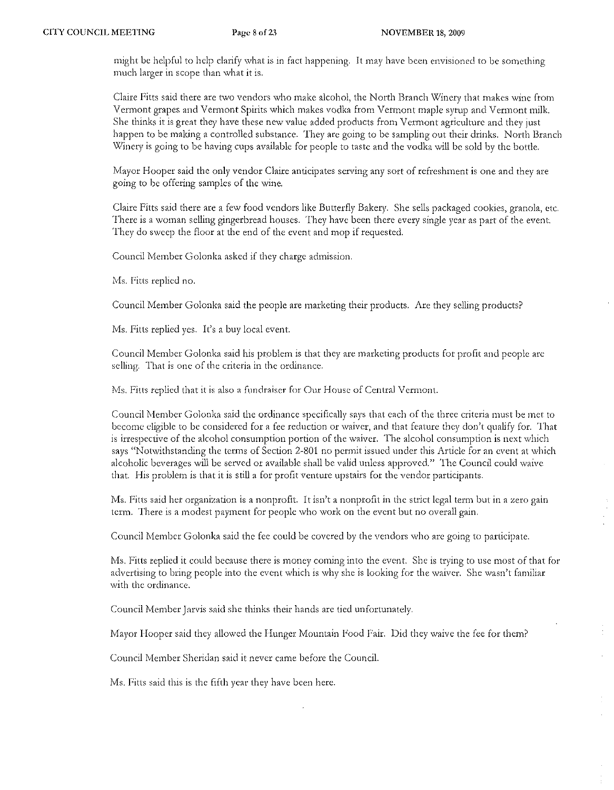might be helpful to help clarify what is in fact happening. It may have been envisioned to be something much larger in scope than what it is.

Claire Pitts said there are two vendors who make alcohol, the North Branch \X1inery that makes wine from Vermont grapes and Vermont Spirits which makes vodka from Vermont maple syrup and Vermont milk. She thinks it is great they have these new value added products from Vermont agriculture and they just happen to be making a controlled substance. They are going to be sampling out their drinks. North Branch Winery is going to be having cups available for people to taste and the vodka will be sold by the bottle.

Mayor Hooper said the only vendor Claire anticipates serving any sort of refreshment is one and they are going to be offering samples of the wine.

Claire Fitts said there are a few food vendors like Butterfly Bakery. She sells packaged cookies, granola, etc. There is a woman selling gingerbread houses. They have been there every single year as part of the event. They do sweep the floor at the end of the event and mop if requested.

Council Member Golonka asked if they charge adrnission.

Ms. Fitts replied no.

Council Member Golonka said the people are marketing their products. Arc they selling products?

Ms. Fitts replied yes. It's a buy local event.

Council Member Golonka said his problem is that they arc marketing products for profit and people are selling. That is one of the criteria in the ordinance.

Ms. Fitts replied that it is also a fundraiser for Our House of Central Vermont.

Council Member Golonka said the ordinance specifically says that each of the three criteria must be met to become eligible to be considered for a fee reduction or waiver, and that feature they don't qualify for. That is irrespective of the alcohol consumption portion of the waiver. The alcohol consumption is next which says "Notwithstanding the terms of Section 2-801 no pennit issued under this Article for an event at which alcoholic beverages will be served or available shall be valid unless approved." The Council could waive that. His problem is that it is still a for profit venture upstairs for the vendor participants.

Ms. Fitts said her organization is a nonprofit. It isn't a nonprofit in the strict legal term but in a zero gain term. There is a modest payment for people who work on the event but no overall gain.

Council Member Golonka said the fee could be covered by the vendors who are going to participate.

Ms. Fitts replied it could because there is money coming into the event. She is trying to use most of that for advertising to bring people into the event which is why she is looking for the waiver. She wasn't familiar with the ordinance.

Council Member Jarvis said she thinks their hands arc tied unfortunately.

Mayor Hooper said they allowed the Hunger Mountain Food Fair. Did they waive the fee for them?

Council Member Sheridan said it never came before the Council.

Ms. Fitts said this is the fifth year they have been here.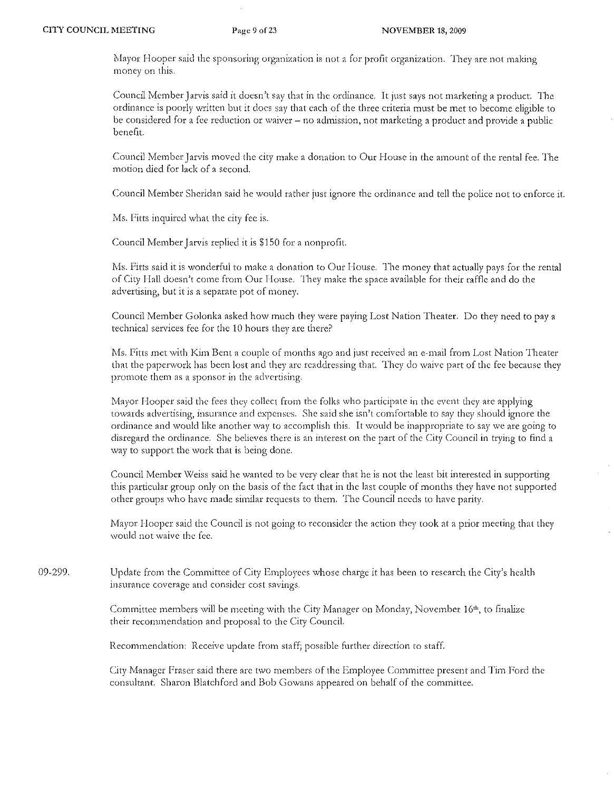Mayor Hooper said the sponsoring organization is not a for profit organization. They are not making money on this.

Council Member Jarvis said it doesn't say that in the ordinance. It just says not marketing a product. The ordinance is poody written but it docs say that each of the three criteria must be met to become eligible to be considered for a fee reduction or waiver - no admission, not marketing a product and provide a public benefit.

Council Member Jarvis moved the city make a donation to Our House in the amount of the rental fee. The motion died for lack of a second.

Council Member Sheridan said he would rather just ignore the ordinance and tell the police not to enforce it.

Ms. Fitts inquired what the city fee is.

Council Member Jarvis replied it is \$150 for a nonprofit.

Ms. Fitts said it is wonderful to make a donation to Our House. The money that actually pays for the rental of City Hall doesn't come from Our I-louse. They make the space available for their raffle and do the advertising, but it is a separate pot of money.

Council Member Golonka asked how much they were paying Lost Nation Theater. Do they need to pay a technical services fcc for the 10 hours they are there?

Ms. Fitts met with Kim Bent a couple of months ago and just received an e-mail from Lost Nation Theater that the paperwork has been lost and they are readdressing that. They do waive part of the fee because they promote them as a sponsor in the advertising.

Mayor Hooper said the fees they collect from the folks who participate in the event they are applying towards advertising, insurance and expenses. She said she isn't comfortable to say they should ignore the ordinance and would like another way to accomplish this. It would be inappropriate to say we are going to disregard the ordinance. She believes there is an interest on the part of the City Council in trying to find a way to support the work that is being done.

Council Member Weiss said he wanted to be very clear that he is not the least bit interested in supporting this particular group only on the basis of the fact that in the last couple of months they have not supported other groups who have made similar requests to them. The Council needs to have parity.

Mayor Hooper said the Council is not going to reconsider the action they took at a prior meeting that they would not waive the fee.

09-299. Update from the Committee of City Employees \vhose charge it has been to research the City's health insurance coverage and consider cost savings.

> Committee members will be meeting with the City Manager on Monday, November 16th, to finalize their recommendation and proposal to the City Council.

Recommendation: Receive update from staff; possible further direction to staff.

City Manager Fraser said there are two members of the Employee Committee present and Tim Ford the consultant. Sharon Blatchford and Bob Gowans appeared on behalf of the committee,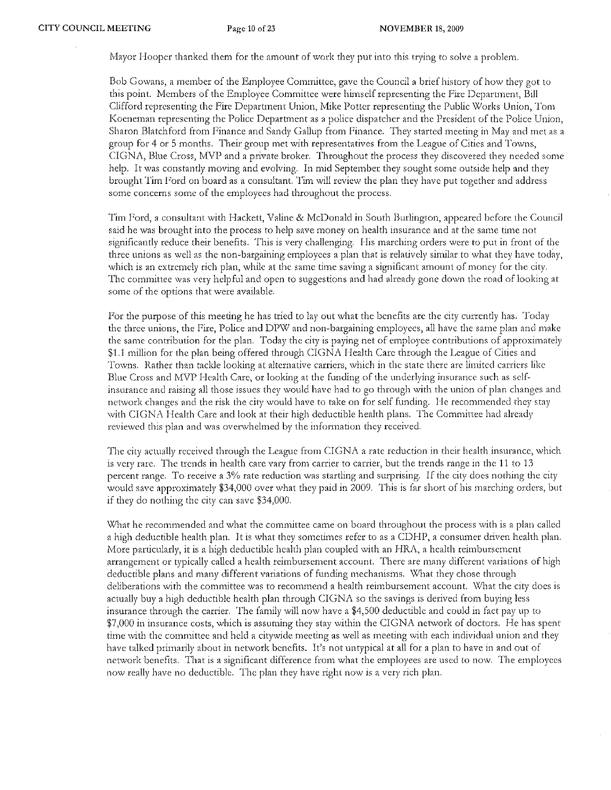Mayor Hooper thanked them for the amount of work they put into this trying to solve a problem.

Bob Cowans, a member of the Employee Committee, gave the Council a brief history of how they got to this point. Members of the Employee Committee were himself representing the Fire Department, Bill Clifford representing the Fire Department Union, Mike Potter representing the Public \X/orks Union, Tom Koeneman representing the Police Department as a police dispatcher and the President of the Police Union, Sharon Blatchford from Finance and Sandy Gallup from Finance. They started meeting in May and met as a group for 4 01' 5 months. Their group met with representatives from the League of Cities and Towns, CIGNA, Blue Cross, MVP and a private broker. Throughout the process they discovered they needed some help. It was constantly moving and evolving. In mid September they sought some outside help and they brought Tim Ford on board as a consultant. Tim will review the plan they have put together and address some concerns some of the employees had throughout the process.

Tim Ford, a consultant with Hackett, Valine & McDonald in South Burlington, appeared before the Council said he was brought into the process to help save money on health insurance and at the same time not significantly reduce their benefits. This is very challenging. His marching orders were to put in front of the three unions as well as the non-bargaining employees a plan that is relatively similar to what they have today, which is an extremely rich plan, while at the same time saving a significant amount of money for the city. The committee was very helpful and open to suggestions and had already gone down the road of looking at some of the options that were available.

For the purpose of this meeting he has tried to lay out what the benefits are the city currently has. Today the three unions, the Fire, Police and DPW and non-bargaining employees, all have the same plan and make the same contribution for the plan. Today the city is paying net of employee contributions of approximately \$1.1 million for the plan being offered through CIGNA Health Care through the League of Cities and Towns. Rather than tackle looking at alternative carriers, which in the state there are limited carriers like Blue Cross and MVP Health Care, or looking at the funding of the underlying insurance such as selfinsurance and raising all those issues they would have had to go through with the union of plan changes and network changes and the risk the city would have to take on for self funding. He recommended they stay with CIGNA Health Care and look at their high deductible health plans. The Committee had already reviewed this plan and was overwhelmed by the information fhey received.

The city actually received through the League from CIGNA a rate reduction in their health insurance, which is very rare. The trends in health care vary from carrier to carrier, but the trends range in the 11 to 13 percent range. To receive a 3% rate reduction was startling and surprising. If the city does nothing the city would save approximately \$34,000 over what they paid in 2009. This is far short of his marching orders, but if they do nothing the city can save  $$34,000$ .

What he recommended and what the committee came on board throughout the process with is a plan called a high deductible health plan. It is what they sometimes refer to as a CDHP, a consumer driven health plan. More particularly, it is a high deductible health plan coupled with an HRA, a health reimbursement arrangement or typically called a health reimbursement account. There are many different variations of high deductible plans and many different variations of funding mechanisms. What they chose through deliberations with the committee was to recommend a health reimbursement account. What the city does is actually buy a high deductible health plan through CIGNA so the savings is derived from buying less insurance through the carrier. The farnily will now have a \$4,500 deductible and could in fact pay up to \$7,000 in insurance costs, which is assuming they stay within the CIGNA network of doctors, He has spent" time with the committee and held a citywide meeting as well as meeting with each individual union and they have talked primarily about in network benefits, It's not untypical at all for a plan to have in and out of network benefits. That is a significant difference from what the employees are used to now. The employees now really have no deductible. The plan they have right now is a very rich plan.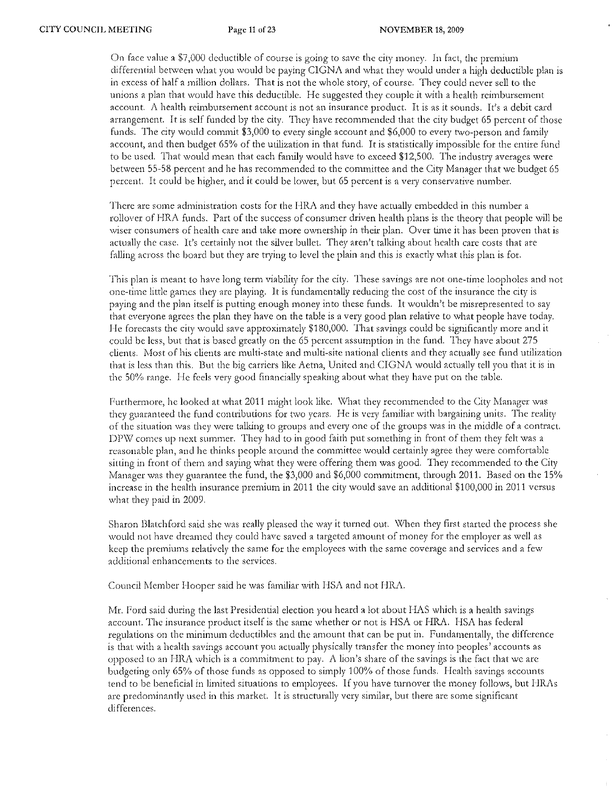On face value a  $$7,000$  deductible of course is going to save the city money. In fact, the premium differential between what you would be paying CIGNA and what they would under a high deductible plan is in excess of half a million dollars. That is not the whole story, of course. They could never sell to the unions a plan that would have this deductible. He suggested they couple it with a health reimbursement account. A health reimbursement account is not an insurance product. It is as it sounds. It's a debit card arrangement. It is self funded by the city. They have recommended that the city budget 65 percent of those funds. The city would commit \$3,000 to every single account and \$6,000 to every two-person and family account, and then budget 65% of the utilization in that fund. It is statistically impossible for the entire fund to be used. That would mean that each family would have to exceed \$12,500. The industry averages were between 55-58 percent and he has recommended to the committee and the City Manager that we budget 65 percent. It could be higher, and it could be lower, but 65 petcent is a very conservative number.

There are some administration costs for the HRA and they have actually embedded in this number a rollover of HRA funds. Part of the success of consumer driven health plans is the theory that people will be wiser consumers of health care and take more ownership in their plan. Over time it has been proven that is actually the case. It's certainly not the silver bullet. They aren't talking about health care costs that are falling across the board but they are trying to level the plain and this is exactly what this plan is for.

This plan is meant to have long term viability for the city. These savings are not one-time loopholes and not one-time little games they are playing. It is fundamentally reducing the cost of the insurance the city is paying and the plan itself is putting enough money into these funds. It wouldn't be misrepresented to say that everyone agrees the plan they have on the table is a very good plan relative to what people have today. He forecasts the city would save approximately  $$180,000$ . That savings could be significantly more and it could be less, but that is based greatly on the 65 percent assumption in the fund. They have about 275 clients. Most of his clients are multi-state and multi-site national clients and they actually see fund utilization that is less than this. But the big carriers like Aetna, United and CIGNA would actually tell you that it is in the 50% range. He feels very good financially speaking about what they have put on the table.

Furthermore, he looked at what 2011 might look like. What they recommended to the City Manager was they guaranteed the fund contributions for two years. He is very familiar with bargaining units. The reality of the situation was they were talking to groups and everyone of the groups was in the middle of a contract. DPW comes up next summer. They had to in good faith put something in front of them they felt was a reasonable plan, and he thinks people around the committee would certainly agree they were comfortable sitting in front of them and saying what they were offering them was good. They recommended to the City Manager was they guarantee the fund, the \$3,000 and \$6,000 commitment, through 2011. Based on the 15% increase in the health insurance premium in 2011 the city would save an additional \$100,000 in 2011 versus what they paid in 2009.

Sharon Blatchford said she was really pleased the way it turned out. \\lhen they first started the process she would not have dreamed they could have saved a targeted amount of money for the employer as well as keep the premiums relatively the same for the employees with the same coverage and services and a few additional enhancements to the services.

Council Member Hooper said he was familiar with HSA and not HRA.

Mr. Ford said during the last Presidential election you heard a lot about HAS which is a health savings account. The insurance product itself is the same whether or not is HSA or HRA. HSA has federal regulations on the minimum deductibles and the amount that can be put in. Fundamentally, the difference is that with a health savings account you actually physically transfer the money into peoples' accounts as opposed to an HRA which is a commitment to pay. A lion's share of the savings is the fact that we are budgeting only 65% of those funds as opposed to simply 100% of those funds. Health savings accounts tend to be beneficial in limited situations to employees. If you have turnover the money follows, but HRAs are predominantly used in this market. It is structurally very similar, but there are some significant differences.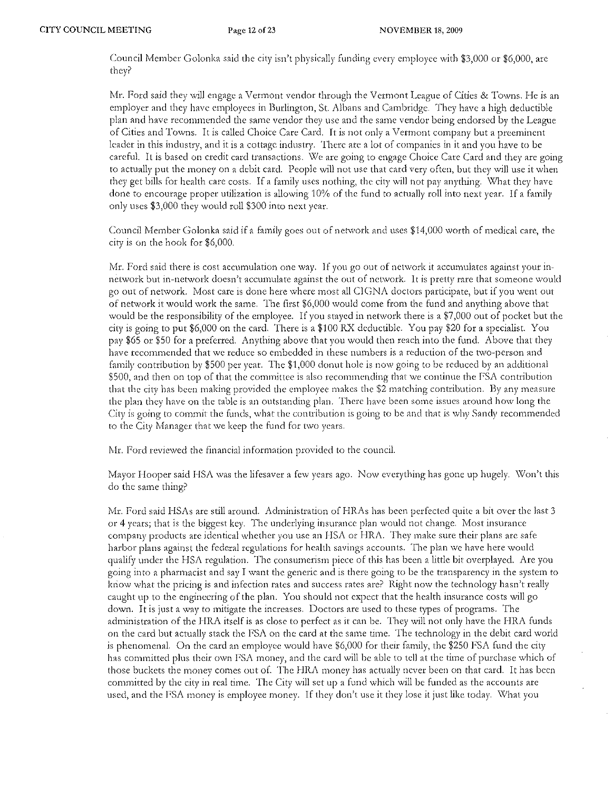Council Member Golonka said the city isn't physically funding every employee with \$3,000 or \$6,000, are they?

Mr. Ford said they will engage a Vermont vendor through the Vermont League of Cities & Towns. He is an employer and they have employees in Burlington, St. Albans and Cambridge. They have a high deductible plan and have recommended the same vendor they usc and the same vendor being endorsed by the League of Cities and Towns. It is called Choice Care Card. It is not only a Vermont company but a preeminent leader in this industry, and it is a cottage industry. There are a lot of companies in it and you have to be careful. It is based on credit card transactions. We are going to engage Choice Care Card and they are going to actually put the money on a debit card. People will not use that card very often, but they will use it when they get bills for health care costs. If a family uses nothing, the city will not pay anything. What they have done to encourage proper utilization is allowing 10% of the fund to actually roll into next year. If a family only uses \$3,000 they would roll \$300 into next year.

Council Member Golonka said if a family goes out of network and uses \$14,000 worth of medical care, the city is on the hook for \$6,000.

Mr. Ford said there is cost accumulation one way. If you go out of network it accumulates against your innetwork but in-network doesn't accumulate against the out of network. It is pretty rare that someone would go out of network. Most care is done here where most all CIGNA doctors participate, but if you went out of network it would work the same. The first \$6,000 would come from the fund and anything above that would be the responsibility of the employee. If you stayed in network there is a \$7,000 out of pocket but the city is going to put \$6,000 on the card. There is a \$100 RX deductible. You pay \$20 for a specialist. You pay \$65 or \$50 for a preferred. Anything above that you would then reach into the fund. Above that they have recommended that we teduce so embedded in these numbers is a reduction of the two-person and family contribution by \$500 per year. The \$1,000 donut hole is now going to be reduced by an additional \$500, and then on top of that the committee is also recommending that we continue the FSA contribution that the city has been making provided the employee makes the \$2 matching contribution. By any mcasute the plan they have on the table is an outstanding plan. There have been some issues around how long the City is going to commit the funds, what the contribution is going to be and that is why Sandy recommended to the City Manager that we keep the fund for two years.

Mr. Ford reviewed the financial information provided to the council.

Mayor Hooper said HSA was the lifesaver a few years ago. Now everything has gone up hugely. Won't this do the same thing?

Mr. Ford said HSAs are still around. Administration of HRAs has been perfected quite a bit over the last 3 or 4 years; that is the biggest key. The underlying insurance plan would not change. Most insurance company products are identical whether you use an HSA or BRA. They make sure their plans arc safe harbor plans against the federal regulations for health savings accounts. '1'he plan we have here would qualify under the HSA regulation. The consumerism piece of this has been a little bit overplayed. Are you going into a phannacist and say I want the generic and is there going to be the transparency in the system to kriow what the pricing is and infection rates and success rates are? Right now the technology hasn't really caught up to the engineering of the plan. You should not expect that the health insurance costs will go down. It is just a way to mitigate the increases. Doctors arc used to these types of programs. The administration of the HRA itself is as close to perfect as it can be. They will not only have the HRA funds on the card but actually stack the FSA on the card at the same time. The tcchnology in the debit card world is phenomenal. On the card an employee would have \$6,000 for their family, the \$250 FSA fund the city has committed plus their own FSA money, and the card will be able to tell at the time of purchase which of those buckets the money comes out of. The HRA money has actually never been on that card. It has been committed by the city in rcal time. The City will set up a fund which will be funded as the accounts arc used, and the FSA money is employee money. If they don't use it they lose it just like today. What you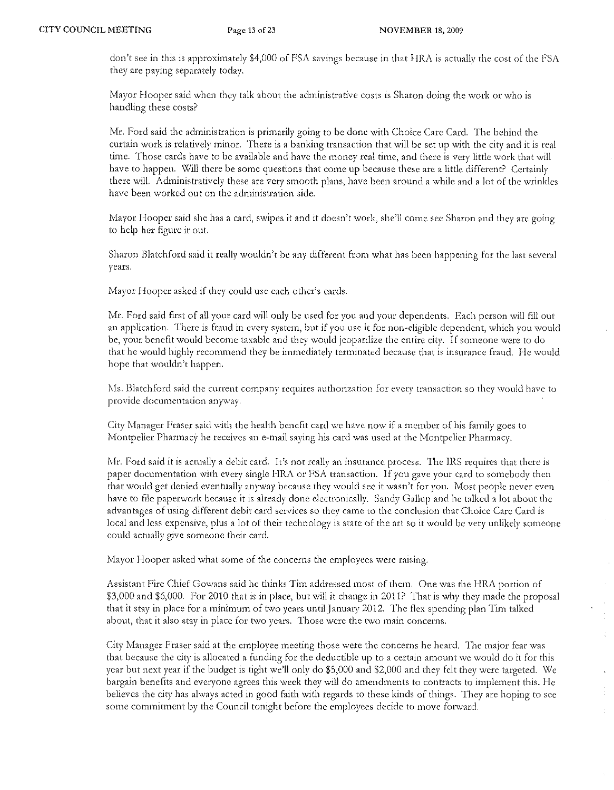don't see in this is approximately \$4,000 of FSA savings because in that HRA is actually the cost of the FSA they are paying separately today.

Mayor Hooper said when they talk about the administrative costs is Sharon doing the work or who is handling these costs?

Mr. Ford said the administration is primarily going to be done with Choice Care Card. The behind the curtain work is relatively minor. There is a banking transaction that will be set up with the city and it is real time. Those cards have to be available and have the money real time, and there is very little work that will have to happen. Will there be some questions that come up because these are a little different? Certainly there will. Administratively these are very smooth plans, have been around a while and a lot of the wrinkles have been worked out on the administration side.

Mayor Hooper said she has a card, swipes it and it doesn't work, she'll come see Sharon and they are going 10 help her figure it out.

Sharon Blatchford said it really wouldn't be any different from what has been happening for the last several years.

Mayor Hooper asked if they could use each other's cards.

Mr. Ford said first of all your card will only be used for you and your dependents. Each person will fill out an application. There is fraud in every system, but if you use it for non~eligible dependent, which you would be, your benefit would become taxable and they would jeopardize the entire city. If someone were to do that he would highly recommend they be immediately terminated because that is insurance fraud. He would hope that wouldn't happen.

Ms. Blatchford said the current company requires authorization for every transaction so they would have to provide documentation anyway.

City Manager Fraser said with the health benefit card we have now if a member of his family goes to Montpelier Pharmacy hc receives an e-rnail saying his card was used at the Montpelier Pharmacy.

Mr. Ford said it is actually a debit card. It's not really an insurance process. The IRS requires that there is paper documentation with every single HRA or FSA transaction. If you gave your card to somebody then that would get denied eventually anyway because they would see it wasn't for you. Most people never even have to file paperwork because it is already done electronically. Sandy Gallup and he talked a lot about the advantages of using different debit card services so they came to the conclusion that Choice Care Card is local and less expensive, plus a lot of their technology is state of the art so it would be very unlikely someone could actually give someone their card.

Mayor Hooper asked what some of the concerns the employees were raising.

Assistant Fire Chief Gowans said he thinks Tim addressed most of them. One was the HRA portion of \$3,000 and \$6,000. For 2010 that is in place, but will it change in 2011? That is why they made the proposal that it stay in place for a minimum of two years until January 2012. The flex spending plan Tim talked about, that it also stay in place for two years. Those were the two main concerns.

 $\mathbb{C}$ 

 $\hat{\mathbf{v}}$ 

City Manager Fraser said at the employee meeting those were the concerns he heard. The major fear was that because the city is allocated a funding for the deductible up to a certain amount we would do it for this year but next year if the budget is tight we'll only do \$5,000 and \$2,000 and they felt they were targeted. We bargain benefits and everyone agrees this week they will do amendments to contracts to implement this. He believes the city has always acted in good faith with regards to these kinds of things. They arc hoping to see some commitment by the Council tonight before the employees decide to move forward.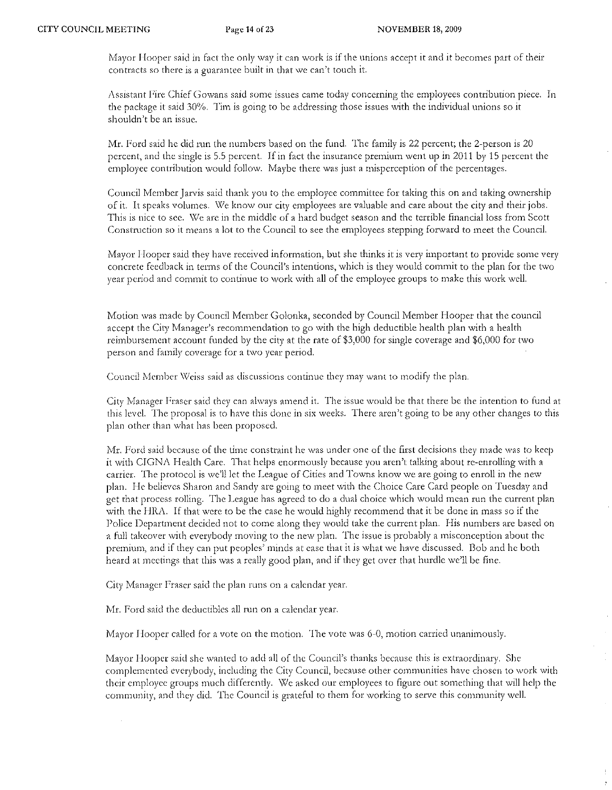Mayor Hooper said in fact the only way it can work is if the unions accept it and it becomes part of their contracts so there is a guarantee built in that we can't touch it.

Assistant Fire Chief Gowans said some issues came today concerning the employees contribution piece. In the package it said 30%. Tim is going to be addeessing those issues with the individual unions so it shouldn't be an issue.

Mr. Ford said he did run the numbers based on the fund. The family is 22 percent; the 2-pcrson is 20 percent, and the single is 5.5 percent. If in fact the insurance premium went up in 2011 by 15 percent the employee contribution would follow. Maybe there was just a misperception of the percentages.

Council Member Jarvis said thank you to the employee committee for taking this on and taking ownership of it. It speaks volumes. \,\le know our city employees are valuable and care about the city and their jobs. This is nice to sec. \Ve arc in the middle of a hard budget season and the terrible financial loss from Scott Construction so it means a lot to the Council to see the employees stepping forward to meet the Council.

Mayor Hooper said they have received information, but she thinks it is very important to provide some very concrete feedback in terms of the Council's intentions, which is they would commit to the plan for the two year period and commit to continue to work with all of the employee groups to make this work well.

Motion was made by Council Member Golonka, seconded by Council Member Hooper that the council accept the City Manager's recommendation to go with the high deductible health plan with a health reimbursement account funded by the city at the rate of \$3,000 for single coverage and \$6,000 for two person and family coverage for a two year period.

Council Member Weiss said as discussions continue they may want to modify the plan.

City Manager Fraser said they can always amend it. The issue would be that there be the intention to fund at this level. The proposal is to have this done in six weeks. There aren't going to be any other changes to this plan other than what has been proposed.

Mr. Ford said because of the time constraint he was under one of the first decisions they made was to keep it with CIGNA Health Care. That helps enormously because you aren't talking about re-enrolling with a carrier. The ptotocol is we'l1 let the League of Cities and Towns know we are going to enroll in the ncw plan. He believes Sharon and Sandy are going to meet with the Choice Care Card people on Tuesday and get that process rolling. The League has agreed to do a dual choice which would mean run the current plan with the HRA. If that were to be the case he would highly recommend that it be done in mass so if the Police Department decided not to come along they would take the current plan. His numbers are based on a full takeover with everybody moving to the new plan. The issue is probably a misconception about the premium, and if they can put peoples' minds at ease that it is what we have discussed. Bob and he both heatd at meetings that this was a really good plan, and if they get over that hurdle we'll be fine.

City Manager Fraser said the plan runs on a calendar year.

Mr. Ford said the deductibles all run on a calendar year.

Mayor Hooper called for a vote on the motion. The vote was 6-0, motion carried unanimously.

Mayor Hooper said she wanted to add all of the Council's thanks because this is extraordinary. She complemented everybody, including the City Council, because other communities have chosen to work with their employee groups much differently. \X/e asked our employees to figure out something that will help the community, and they did. The Council is grateful to them for working to serve this community well.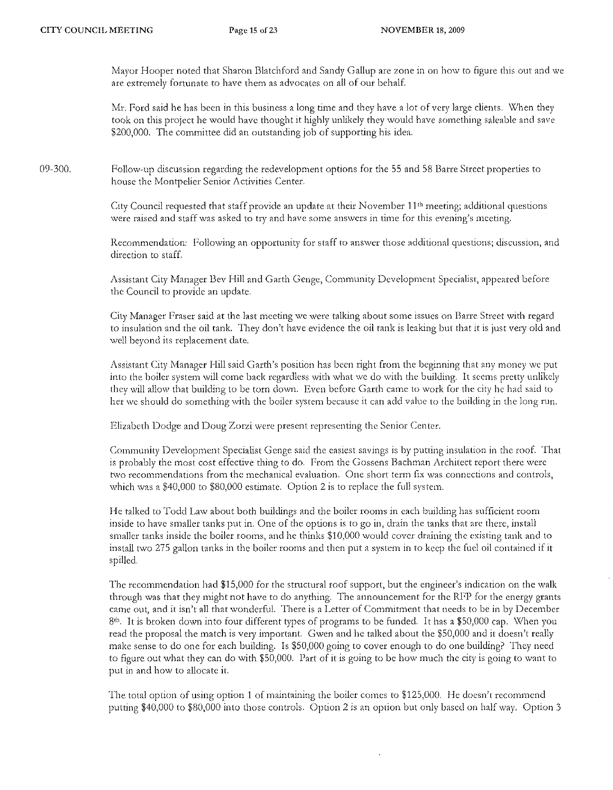Mayor Hooper noted that Sharon Blatchford and Sandy Gallup are zone in on how to figure this out: and we are extremely fortunate to have them as advocates on all of our behalf.

Mr. Ford said he has been in this business a long time and they have a lot of very large clients. When they took on this project he would have thought it highly unlikely they would have something saleable and save S200,000. The committee did an outstanding job of supporting his idea.

09-300. Follow-up discussion regarding the redevelopment options for the 55 and 58 Bane Street properties to house the Montpelier Senior Activities Center.

> City Council requested that staff provide an update at their November 11<sup>th</sup> meeting; additional questions were raised and staff was asked to try and have some answers in time for this evening's meeting.

Recommendation: Following an opportunity for staff to answer those additional questions; discussion, and direction to staff.

Assistant City Manager Bev Hill and Garth Genge, Community Development Specialist, appeared before the Council to provide an update.

City Manager Fraser said at the last meeting we were talking about some issues on Barre Street with regard to insulation and the oil tank. They don't have evidence the oil tank is leaking but that it is just: very old and well beyond its replacement date.

Assistant City Manager Hill said Garth's position has been right from the beginning that any money we put into the boiler system will come back regardless with what we do with the building. It seems pretty unlikely they will allow that building to be torn down. Even before Garth came to work for the city he had said to het we should do something with the boiler system because it can add value to the building in the long run.

Elizabeth Dodge and Doug Zorzi were present representing the Senior Center.

Community Development Specialist Genge said the easiest savings is by putling insulation in the roof. That is probably the most cost effective thing to do. From the Gossens Bachman Architect report there were two recommendations from the mechanical evaluation. One short term fix was connections and controls, which was a \$40,000 to \$80,000 estimate. Option 2 is to replace the full system.

He talked to Todd Law about both buildings and the boiler rooms in each building has sufficient foom inside to have smaller tanks put in. One of the options is to go in, drain the tanks that are there, install smaller tanks inside the boiler rooms, and he thinks \$10,000 would cover draining the existing tank and to install two 275 gallon tanks in the boiler fooms and then put a system in to keep the fuel oil contained if it spilled.

The recommendation had \$15,000 for the structural roof support, but the engineee's indication on the walk through was that they might not have to do anything. The announcement for the RFP for the energy grants came out, and it isn't all that wonderful. There is a Letter of Commitment that needs to be in by December 8<sup>th</sup>. It is broken down into four different types of programs to be funded. It has a \$50,000 cap. When you read the proposal the match is very important. Gwen and he talked about the \$50,000 and it doesn't really make sense to do one for each building. Is \$50,000 going to cover enough to do one building? They need to figure out what they can do with \$50,000. Part of it is going to be how much the city is going to want to put in and how to allocate it.

The total option of using option 1 of maintaining the boiler comes to  $$125,000$ . He doesn't recommend putting \$40,000 to \$80,000 into those controls. Option 2 is an option but only based on half way. Option 3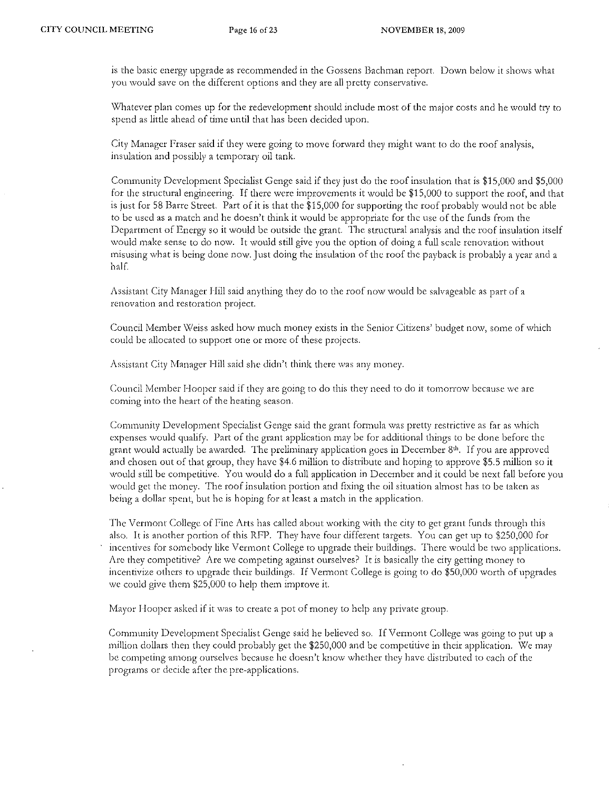is the basic energy upgrade as recommended in the Gossens Bachman report. Down below it shows what you would save on the different options and they are all pretty conservative.

Whatever plan comes up for the redevelopment should include most of the major costs and he would try to spend as little ahead of time until that has been decided upon.

City Manager Fraser said if they were going to move forward they might want to do the roof analysis, insulation and possibly a temporary oil tank.

Community Development Specialist Genge said if they just do the roof insulation that is \$15,000 and \$5,000 for the structural engineering. If there were improvements it would be \$15,000 to support the roof, and that is just for 58 Barre Street. Part of it is that the \$15,000 for supporting the roof probably would not be able to be used as a match and he doesn't think it would be appropriate for the usc of the funds from the Department of Energy so it would be outside the grant. The structural analysis and the roof insulation itself would make sense to do now. It would still give you the option of doing a full scale renovation without misusing what is being done now. Just doing the insulation of the roof the payback is probably a year and a half.

Assistant City Manager Hill said anything they do to the roof now would be salvageable as part of a renovation and restoration project.

Council Member Weiss asked how much money exists in the Senior Citizens' budget now, some of which could be allocated to support one or more of these projects.

Assistant City Manager Hill said she didn't think there was any money.

Council Member Hooper said if they are going to do this they need to do it tomorrow because we are coming into the heart of the heating season.

Community Development Specialist Genge said the grant formula was pretty tcstrictive as far as which expenses would qualify. Part of the grant application may be for additional things to be done before the grant would actually be awarded. The preliminary application goes in December  $8<sup>th</sup>$ . If you are approved and chosen out of that group, they have \$4.6 million to distribute and hoping to approve \$5.5 million so it would still be competitive. You would do a full application in December and it could be next fall before you would get the money. The roof insulation portion and fixing the oil situation almost has to be taken as being a dollar spent, but he is hoping for at least a match in the application.

The Vermont College of Fine Arts has called about working with the city to get grant funds through this also. It is another portion of this RFP. They have four different targets. You can get up to \$250,000 for incentives for somebody like Vermont College to upgrade their buildings. There would be two applications. Are they competitive? Are we competing against ourselves? It is basically the city getting money to inccntivize others to upgrade their buildings. If Vermont College is going to do \$50,000 worth of upgrades we could give thern \$25,000 to help them improve it.

Mayor Hooper asked if it was to create a pot of money to help any private group.

Community Development. Specialist Genge said he believed so. If Vermont. College was going to put up a million dollars then they could probably get the \$250,000 and be competitive in their application. We may be competing among ourselves because he doesn't know whether they have distributed to each of the programs or decide after the pre-applications.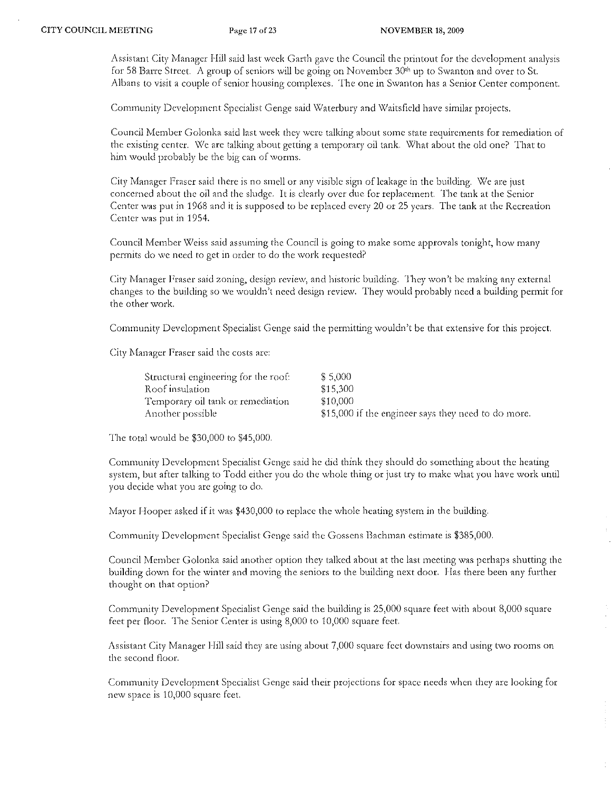Assistant City Manager Hill said last week Garth gave the Council the printout for the development analysis for 58 Barre Street. A group of seniors will be going on November 30<sup>th</sup> up to Swanton and over to St. Albans to visit a couple of senior housing complexes. The one in Swanton has a Senior Center component.

Community Development Specialist Genge said Waterbury and Waitsfield have similar projects.

Council Member Golonka said last week they were talking about some state requirements for remediation of the existing center. We are talking about getting a temporary oil tank. What about the old one? That to him would probably be the big can of worms.

City Manager Fraser said there is no smell or any visible sign of leakage in the building. We are just concerned about the oil and the sludge. It is clearly over due for replacement. The tank at the Senior Center was put in 1968 and it is supposed to be replaced every 20 or 25 years. The tank at the Recreation Center was put in 1954.

Council Member Weiss said assuming the Council is going to make some approvals tonight, how many permits do we need to get in order to do the work requested?

City Manager Fraser said zoning, design review, and historic building. They won't be making any external changes to the building so we wouldn't need design review. They would probably need a building permit for the other work.

Community Development Specialist Genge said the permitting wouldn't be that extensive for this project.

City Manager Fraser said the costs are:

| Structural engineering for the roof: | \$ 5,000                                            |
|--------------------------------------|-----------------------------------------------------|
| Roof insulation                      | \$15.300                                            |
| Temporary oil tank or remediation    | \$10.000                                            |
| Another possible                     | \$15,000 if the engineer says they need to do more. |

The total would be \$30,000 to \$45,000.

Community Development Specialist Genge said he did think they should do something about the heating system, but after talking to Todd either you do the whole thing or just try to make what you have work until you decide what you arc going to do.

Mayor Hooper asked if it was \$430,000 to replace the whole heating system in the building.

Community Development Specialist Genge said the Gossens Bachman estimate is \$385,000.

Council Member Golonka said another option they talked about at the last meeting was perhaps shutting the building down for the winter and moving the seniors to the building next door. Has there been any further thought on that option?

Community Development Specialist' Genge said the building is 25,000 square feet with about 8,000 square feet pcr floor. The Senior Center is using 8,000 to 10,000 square feet.

Assistant City Manager Hill said they are using about 7,000 square feet downstairs and using two rooms on the second floor.

Community Development Specialist Genge said their projections for space needs when they are looking for new space is 10,000 square feet.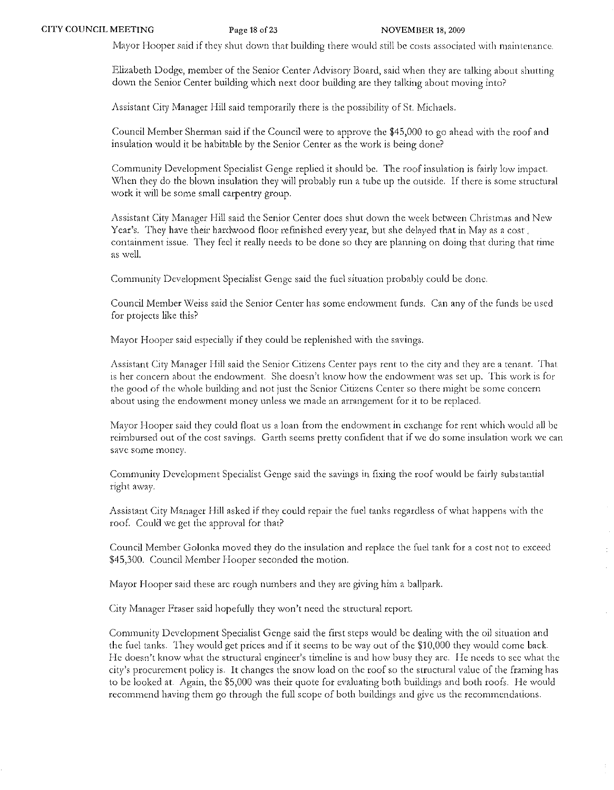Mayor Hooper said if they shut down that building there would still be costs associated with maintenance.

Elizabeth Dodge, member of the Senior Center- Advisory Board) said when they arc talking about shutting down the Senior Center building which next door building arc they talking about moving into?

Assistant City Manager Hill said temporarily there is the possibility of St. Michaels.

Council Member Sherman said if the Council were to approve the \$45,000 to go ahead with the roof and insulation would it be habitable by the Senior Center as the work is being done?

Community Development Specialist Genge replied it should be. The roof insulation is fairly low irnpacl. When they do the blown insulation they will probably run a tube up the outside. If there is some structural work it will be some small carpentry group.

Assistant City Manager Hill said the Senior Center does shut down the week between Christmas and New Year's. They have their hardwood floor refinished every year, but she delayed that in May as a cost. containment issue. They feel it really needs to be done so they are planning on doing that during that time as well.

Community Development Specialist Genge said the fuel situation probably could be done.

Council Member *\X1eiss* saiel the Senior Center has some endowment funds. Can any of the funds be used for projects like this?

Mayor Hooper said especially if they could be replenished with the savings.

Assistant City Manager Hill said the Senior Citizens Center pays rent to the city and they are a tenant. That is her concern about the endowment. She doesn't know how the endowment was set up. This work is for the good of the whole building and not just the Senior Citizens Center so there might be some concern about using the endowment money unless we made an arrangement for it to be replaced.

Mayor Hooper said they could float us a loan from the endowment in exchange for rent which would all be reimbursed out of the cost savings. Garth seems pretty confident that if we do some insulation work \ve can save some moncy.

Community Development Specialist Genge said the savings in fixing the roof would be fairly substantial right away.

Assistant City Manager Hill asked if they could repair the fuel tanks regardless of what happens with the roof. Could we get the approval for that?

Council Member Golonka moved they do the insulation and replace the fuel tank for a cost not to exceed \$45,300. Council Member Hooper seconded the motion.

Mayor Hooper said these are rough numbers and they arc giving him a ballpark.

City Manager Fraser said hopefully they won't need the structural report.

Community Development Specialist Genge said the first steps would be dealing with the oil situation and the fuel tanks. They would get prices and if it seerns to be way out of the \$10,000 they would come back. He doesn't know what the structural engineer's timeline is and how busy they are. He needs to see what the city's procurement policy is. It changes the snow load on the roof so the structural value of the frarning has to be looked at. Again, the \$5)000 was their quote for evaluating both buildings and both roofs. He would recommend having them go through the full scope of both buildings and give us the recommendations.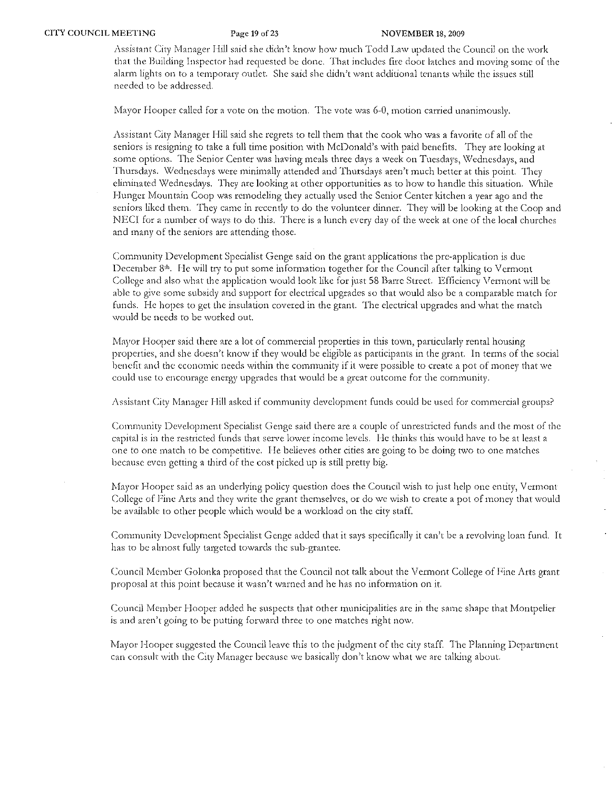Assistant City Manager Hill said she didn't know how much Todd Law updated the Council on the work that the Building Inspector had requested be done. That includes fire door latches and moving some of the alarm lights on to a temporary outlet. She said she didn't want additional tenants while the issues still needed to be addressed.

Mayor Hooper called for a vote on the motion. The vote was 6-0, motion carried unanimously.

Assistant City Manager Hill said she regrets to tell them that the cook who was a favorite of all of the seniors is resigning to take a full time position with McDonald's with paid benefits. They arc looking at some options. The Senior Center was having meals three days a week on Tuesdays, Wednesdays, and Thursdays. Wednesdays were minimally attended and Thursdays aren't much better at this point. They eliminated Wednesdays. They are looking at other opportunities as to how to handle this situation. While Hunger Mountain Coop was remodeling they actually used the Senior Center kitchen a year ago and the seniors liked them. They came in recently to do the volunteer dinner. They will be looking at the Coop and NECI for a number of ways to do this. There is a lunch every day of the week at one of the local churches and many of the seniors are attending those.

Community Development Specialist Genge said on the grant applications the pre-application is due December 8th . He will try to put some information together for the Council after talking to Vermont College and also what the application would look like for just 58 Barre Street. Efficiency Vermont will be able to give some subsidy and support for electrical upgrades so that would also be a comparable match for funds. He hopes to get the insulation covered in the grant. The electrical upgrades and what the match would be needs to be wotked out.

Mayor Hooper said there are a lot of commercial properties in this town, particularly rental housing properties, and she doesn't know if they would be eligible as participants in the grant. In terms of the social benefit and the economic needs within the community if it were possible to create a pot of money that we could usc to encourage energy upgrades that would be a great outcome for the community.

Assistant City Manager Hill asked if community development funds could be used for commercial groups?

Community Development Specialist Genge said there arc a couple of unrestricted funds and the most of the capital is in the testricted funds that scrve lowet income levels. I-Ie thinks this would have to be at least a one to one match to be competitive. He bclieves other cities are going to be doing two to one matches because even getting a third of the cost picked up is still pretty big.

Mayor Hooper said as an underlying policy question does the Council wish to just help one entity, V ermont College of Fine Arts and they write the grant themselves, or do we wish to create a pot of money that would be available to other people which would be a workload on the city staff.

Community Development Specialist Genge added that it says specifically it can't be a revolving loan fund. It has to be almost fully targeted towards the sub-grantee.

Council Member Golonka proposed that the Council not talk about the Vermont College of Fine Arts grant proposal at this point because it wasn't warned and he has no information on it.

Council Member Hooper added he suspects that other municipalities are in the same shape that Montpelier is and aren't going to be putting forward three to one matches right now.

Mayor Hooper suggested the Council leave this to the judgment of the city staff. The Planning Department can consult with the City Manager because we basically don't know what we are talking about.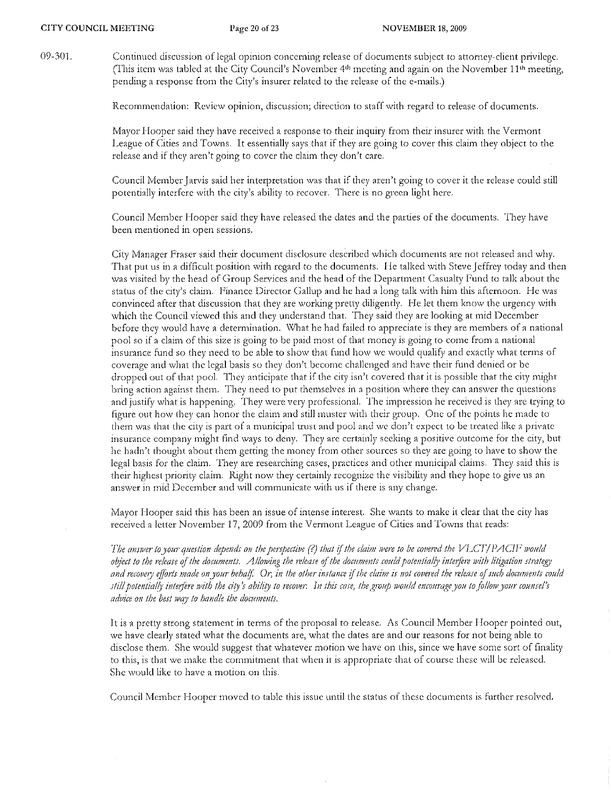09-301. Continued discussion of legal opinion concerning release of documents subject to attorney-client privilege. (This item was tabled at the City Council's November  $4<sup>th</sup>$  meeting and again on the November  $11<sup>th</sup>$  meeting, pending a response from the City's insurer related to the release of the e-mails.)

Recommendation: Review opinion, discussion; direction to staff with regard to release of documents.

Mayor Hooper said they have received a response to their inquiry from their insurer with the Vermont League of Cities and Towns. It essentially says that if they arc going to cover this claim they object to the release and if they aren't going to cover the claim they don't care.

Council Member Jarvis said her interpretation was that if they aren't going to cover it the release could still potentially interfere with the city's ability to recover. There is no green light here.

Council Member Hooper said they have released the dates and the parties of the documents. They have been mentioned in open sessions.

City Manager Fraser said their document disclosure described which documents arc not released and why. That put us in a difficult position with regard to the documents. He talked with Steve Jeffrey today and then was visited by the head of Group Services and the head of the Department Casualty Fund to talk about the status of the city's claim. F'inance Director Gallup and he had a iong talk with him this afternoon. He was convinced after that discussion that they are working pretty diligently. He let them know the urgency with which the Council viewed this and they understand that. They said they are looking at mid December before they would have a determination. \X/hat he had failed to appreciate is they are members of a national pool so if a claim of this size is going to be paid most of that money is going to come from a national insurance fund so they need to be able to show that fund how we would qualify and exactly what terms of coverage and what the legal basis so they don't become challenged and have their fund denied or be dropped out of that pool. They anticipate that if the city isn't covered that it is possible that the city might bring action against them. They need to put themselves in a position where they can answer the questions and justify what is happening. They were very professional. The impression he received is they arc trying to figure out how they can honor the claim and still muster with their group. One of the points he made to them was that the city is part of a municipal trust and pool and we don't expect to be treated like a private insurance company might find ways to deny. They arc certainly seeking a positive outcome for the city) but he hadn't thought about them getting the money from other sources so they are going to have to show the legal basis fOf the claim. They arc researching cases, practices and other municipal claims. They said this is their highest priority claim. Right now they certainly recognize the visibility and they hope to give us an answer in mid December and will communicate with us if there is any change.

Mayor Hooper said this has been an issue of intense interest. She wants to make it clear that the city has received a letter November 17, 2009 from the Vermont League of Cities and Towns that reads:

*The answer to your question depends on the perspective (?) that if the claim were to be covered the VLCT/PACII<sup>7</sup> would object to the release of the documents. Allowing the release of the documents could potentially interfere with litigation strategy* and recovery efforts made on your behalf. Or, in the other instance if the claim is not covered the release of such documents could *still potentially interfere with the city's ability to recover. In this case, the group would encourage you to follow your counsel's* advice on the best way to handle the documents.

I t is a pretty strong statement in terms of the proposal to release. As Council Member Hooper pointed out, we have clearly stated what the documents are, what the dates are and our reasons for not being able to disclose them. She would suggest that whatever motion we have on this, since we have some sort of finality to this, is that we make the commitment that when it is appropriate that of course these will be released. She would like to have a motion on this.

Council Member Hooper moved to table this issue until the status of these documents is further resolved.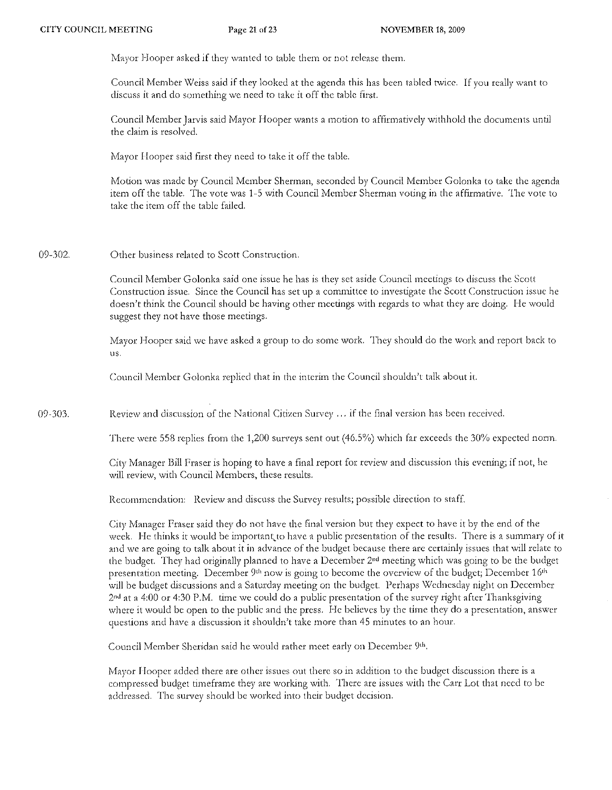Mayor Hooper asked if they wanted to table them or not release them.

Council Member Weiss said if they looked at the agenda this has been tabled twice. If you really want to discuss it and do something we need to take it off the table fitst.

Council Member Jarvis said Mayor Hooper wants a motion to affirmatively withhold the documents until the claim is resolved.

Mayor Hooper said first they need to take it off the table.

Motion was made by Council Member Sherman, seconded by Council Member Golonka to take the agenda item off the table. The vote was 1-5 with Council Member Sherman voting in the affirmative. The vote to take the item off the table failed.

09-302. Other business related to Scott Construction.

> Council Member Golonka said one issue he has is they set aside Council meetings to discuss the Scott Construction issue. Since the Council has set up a committee to investigate the Scott Construction issue he doesn't think the Council should be having other meetings with regards to what they are doing. He would suggest they not have those meetings.

> Mayor Hooper said we have asked a group to do some work. They should do the work and report back to us.

Council Member Golonka replied that in the interim the Council shouldn't talk about it.

09-303. Review and discussion of the National Citizen Survey ... if the final version has been received.

There were 558 replies from the 1,200 surveys sent out (46.5%) which far exceeds the 30% expected norm.

City Manager Bill Fraser is hoping to have a final report for review and discussion this evening; if not, he will review, with Council Members, these results.

Recommendation: Review and discuss the Survey results; possible direction to staff.

City Manager Fraser said they do not have the final version but they expect to have it by the end of the week. He thinks it would be important to have a public presentation of the results. There is a summary of it and we arc going to talk about it in advance of the budget because there arc certainly issues that will relate to the budget. They had originally planned to have a December 2<sup>nd</sup> meeting which was going to be the budget presentation meeting. December  $9th$  now is going to become the overview of the budget; December  $16th$ will be budget discussions and a Saturday meeting on the budget. Perhaps Wednesday night on Decernber 2nd at a 4:00 or 4:30 P,M. time we could do a public presentation of the survey right after Thanksgiving where it would be open to the public and the press. He believes by the time they do a presentation, answer questions and have a discussion it shouldn't take more than 45 minutes to an hour.

Council Member Sheridan said he would rather meet early on December 9th.

Mayor Hooper added there are other issues out there so in addition to the budget discussion there is a compressed budget timeframe they are working with. There are issues with the Carr Lot that need to be addressed. The survey should be worked into their budget decision.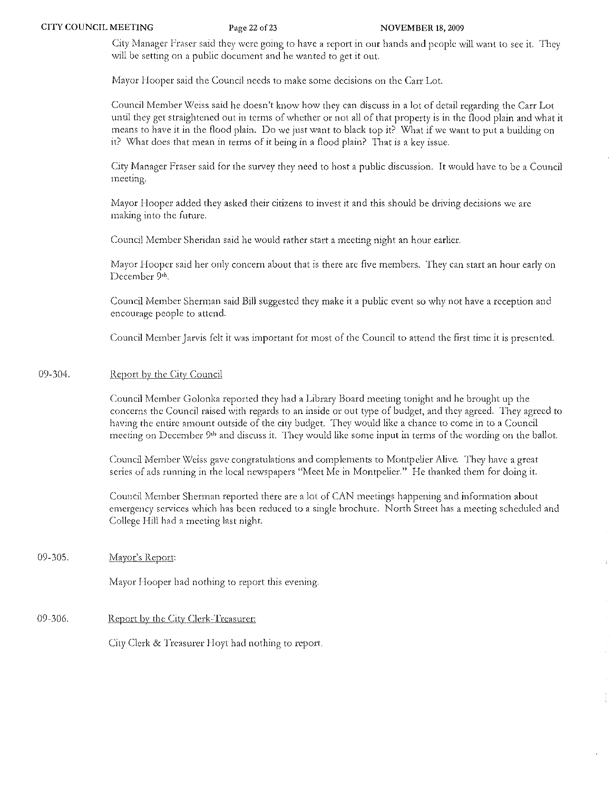City Manager Fraser said they were going to have a report in our hands and people will want to see it. They will be setting on a public document and he wanted to get it out.

Mayor Hooper said the Council needs to make some decisions on the Carr Lot.

Council Member Weiss said he doesn't know how they can discuss in a lot of detail regarding the Carr Lot until they get straightened out in terms of whether or not all of that property is in the flood plain and what it means to have it in the flood plain. Do we just want to black top it? What if we want to put a building on it? What does that mean in terms of it being in a flood plain? That is a key issue.

City Manager Fraser said for the survey they need to host a public discussion. It would have to be a Council meeting.

Mayor Hooper added they asked their citizens to invest it and this should be driving decisions we are making into the future.

Council Member Sheridan said he would rather start a meeting night an hour earlier.

Mayor Hooper said her only concern about that is there are five members. They can start an hour early on December 9th.

Council Member Sherman said Bill suggested they make it a public event so why not have a reception and encoutagc people to attend.

Council Member Jarvis felt it was important for most of the Council to attend the first time it is presented.

### 09-304. Report by the City Council

Council Member Golonka reported they had a Library Board meeting tonight and he brought up the concerns the Council raised with regards to an inside or out type of budget, and they agreed. They agreed to having the entire amount outside of the city budget. They would like a chance to come in to a Council meeting on December 9<sup>th</sup> and discuss it. They would like some input in terms of the wording on the ballot.

Council Member *Weiss gave congratulations and complements to Montpelier Alive. They have a great* series of ads running in the local newspapers "Meet Me in Montpelier." He thanked them for doing it.

Council Member Sherman reported there are a lot of CAN meetings happening and information about emergency services which has been reduced to a single brochure. North Street has a meeting scheduled and College Hill had a meeting last night.

### 09-305. Mayor's Report:

Mayor Hooper had nothing to report this evening.

## 09-306. Report by the City Clerk-Treasurer:

City Clerk & Treasurer Hoyt had nothing to report.